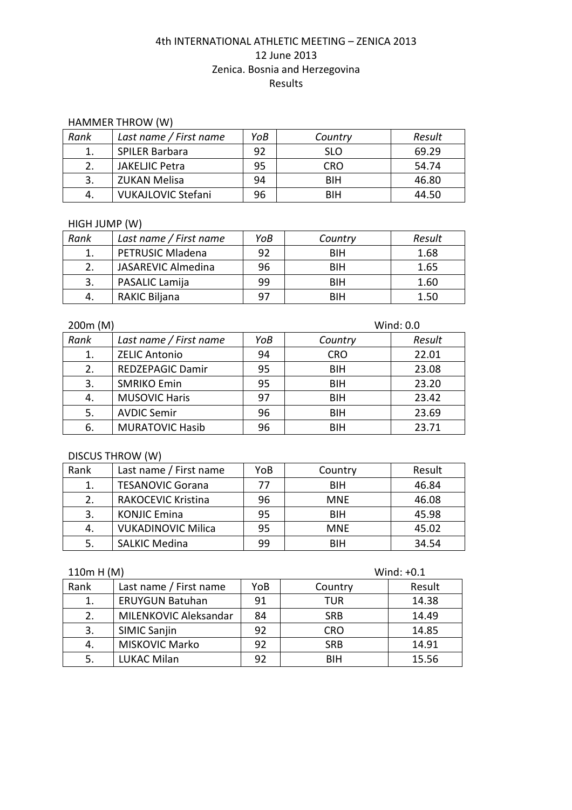#### HAMMER THROW (W)

| Rank | Last name / First name    | YoB | Country    | Result |
|------|---------------------------|-----|------------|--------|
|      | SPILER Barbara            | 92  | <b>SLO</b> | 69.29  |
|      | <b>JAKELJIC Petra</b>     | 95  | CRO        | 54.74  |
|      | ZUKAN Melisa              | 94  | BIH        | 46.80  |
| -4.  | <b>VUKAJLOVIC Stefani</b> | 96  | BIH        | 44.50  |

# HIGH JUMP (W)

| Rank | Last name / First name  | YoB | Country    | Result |
|------|-------------------------|-----|------------|--------|
|      | <b>PETRUSIC Mladena</b> | 92  | <b>BIH</b> | 1.68   |
|      | JASAREVIC Almedina      | 96  | <b>BIH</b> | 1.65   |
|      | PASALIC Lamija          | 99  | BIH        | 1.60   |
| 4.   | <b>RAKIC Biljana</b>    | 97  | <b>BIH</b> | 1.50   |

| 200m (M)<br>Wind: 0.0 |                         |     |            |        |
|-----------------------|-------------------------|-----|------------|--------|
| Rank                  | Last name / First name  | YoB | Country    | Result |
| 1.                    | <b>ZELIC Antonio</b>    | 94  | <b>CRO</b> | 22.01  |
| 2.                    | <b>REDZEPAGIC Damir</b> | 95  | <b>BIH</b> | 23.08  |
| 3.                    | <b>SMRIKO Emin</b>      | 95  | <b>BIH</b> | 23.20  |
| 4.                    | <b>MUSOVIC Haris</b>    | 97  | <b>BIH</b> | 23.42  |
| 5.                    | <b>AVDIC Semir</b>      | 96  | <b>BIH</b> | 23.69  |
| 6.                    | <b>MURATOVIC Hasib</b>  | 96  | <b>BIH</b> | 23.71  |

## DISCUS THROW (W)

| Rank | Last name / First name    | YoB | Country    | Result |
|------|---------------------------|-----|------------|--------|
| 1.   | <b>TESANOVIC Gorana</b>   | 77  | <b>BIH</b> | 46.84  |
| 2.   | <b>RAKOCEVIC Kristina</b> | 96  | <b>MNF</b> | 46.08  |
| 3.   | <b>KONJIC Emina</b>       | 95  | <b>BIH</b> | 45.98  |
| 4.   | <b>VUKADINOVIC Milica</b> | 95  | <b>MNF</b> | 45.02  |
| -5.  | <b>SALKIC Medina</b>      | 99  | <b>BIH</b> | 34.54  |

| 110m H (M) |                        |     | Wind: $+0.1$ |        |  |
|------------|------------------------|-----|--------------|--------|--|
| Rank       | Last name / First name | YoB | Country      | Result |  |
| 1.         | <b>ERUYGUN Batuhan</b> | 91  | <b>TUR</b>   | 14.38  |  |
| 2.         | MILENKOVIC Aleksandar  | 84  | <b>SRB</b>   | 14.49  |  |
| 3.         | <b>SIMIC Sanjin</b>    | 92  | <b>CRO</b>   | 14.85  |  |
| 4.         | <b>MISKOVIC Marko</b>  | 92  | <b>SRB</b>   | 14.91  |  |
| 5.         | <b>LUKAC Milan</b>     | 92  | BIH          | 15.56  |  |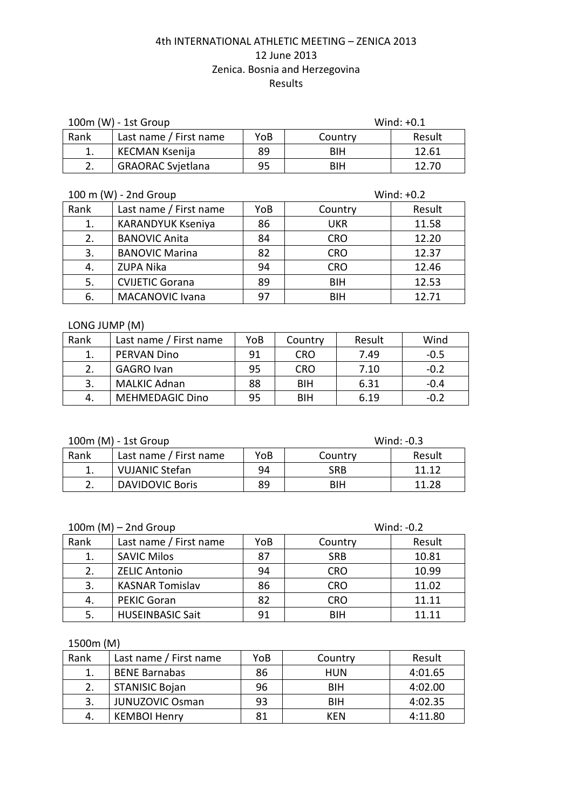| $100m$ (W) - 1st Group |                          |     | Wind: $+0.1$ |        |
|------------------------|--------------------------|-----|--------------|--------|
| Rank                   | Last name / First name   | YoB | Country      | Result |
|                        | KECMAN Ksenija           | 89  | <b>BIH</b>   | 12.61  |
|                        | <b>GRAORAC Svjetlana</b> | 95  | <b>BIH</b>   | 12.70  |

| 100 m (W) - 2nd Group |                          |     | Wind: $+0.2$ |        |  |
|-----------------------|--------------------------|-----|--------------|--------|--|
| Rank                  | Last name / First name   | YoB | Country      | Result |  |
| 1.                    | <b>KARANDYUK Kseniya</b> | 86  | <b>UKR</b>   | 11.58  |  |
| 2.                    | <b>BANOVIC Anita</b>     | 84  | <b>CRO</b>   | 12.20  |  |
| 3.                    | <b>BANOVIC Marina</b>    | 82  | <b>CRO</b>   | 12.37  |  |
| 4.                    | <b>ZUPA Nika</b>         | 94  | <b>CRO</b>   | 12.46  |  |
| 5.                    | <b>CVIJETIC Gorana</b>   | 89  | <b>BIH</b>   | 12.53  |  |
| 6.                    | <b>MACANOVIC Ivana</b>   | 97  | <b>BIH</b>   | 12.71  |  |

#### LONG JUMP (M)

| Rank | Last name / First name | YoB | Country    | Result | Wind   |
|------|------------------------|-----|------------|--------|--------|
|      | <b>PERVAN Dino</b>     | 91  | CRO        | 7.49   | $-0.5$ |
| 2.   | <b>GAGRO Ivan</b>      | 95  | <b>CRO</b> | 7.10   | $-0.2$ |
| 3.   | <b>MALKIC Adnan</b>    | 88  | BIH        | 6.31   | $-0.4$ |
| 4.   | <b>MEHMEDAGIC Dino</b> | 95  | BIH        | 6.19   | $-0.2$ |

100m (M) - 1st Group Wind: -0.3

| <b>TAILITIO</b><br><b>LUL ULUMP</b> |                        |     |         |        |  |
|-------------------------------------|------------------------|-----|---------|--------|--|
| Rank                                | Last name / First name | YoB | Country | Result |  |
|                                     | <b>VUJANIC Stefan</b>  | 94  | SRB     | 11.12  |  |
| ົ<br>z.                             | <b>DAVIDOVIC Boris</b> | 89  | BIH     | 11.28  |  |

| $100m$ (M) – 2nd Group |                         |     |            | Wind: $-0.2$ |
|------------------------|-------------------------|-----|------------|--------------|
| Rank                   | Last name / First name  | YoB | Country    | Result       |
| 1.                     | <b>SAVIC Milos</b>      | 87  | <b>SRB</b> | 10.81        |
| 2.                     | <b>ZELIC Antonio</b>    | 94  | <b>CRO</b> | 10.99        |
| 3.                     | <b>KASNAR Tomislav</b>  | 86  | <b>CRO</b> | 11.02        |
| 4.                     | <b>PEKIC Goran</b>      | 82  | <b>CRO</b> | 11.11        |
| 5.                     | <b>HUSEINBASIC Sait</b> | 91  | BIH        | 11.11        |

1500m (M)

| Rank | Last name / First name | YoB | Country    | Result  |
|------|------------------------|-----|------------|---------|
|      | <b>BENE Barnabas</b>   | 86  | HUN        | 4:01.65 |
|      | <b>STANISIC Bojan</b>  | 96  | <b>BIH</b> | 4:02.00 |
| 3.   | <b>JUNUZOVIC Osman</b> | 93  | <b>BIH</b> | 4:02.35 |
| 4.   | <b>KEMBOI Henry</b>    | 81  | KFN        | 4:11.80 |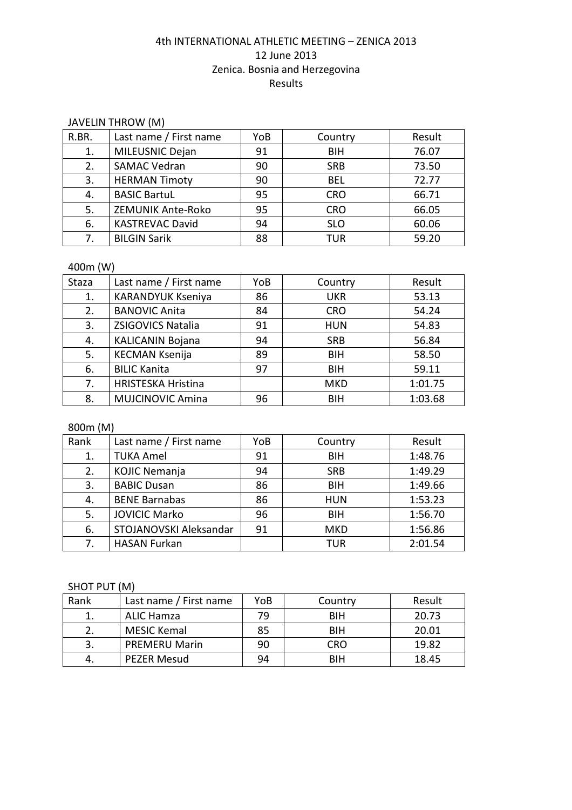#### JAVELIN THROW (M)

| R.BR. | Last name / First name | YoB | Country    | Result |
|-------|------------------------|-----|------------|--------|
| 1.    | MILEUSNIC Dejan        | 91  | <b>BIH</b> | 76.07  |
| 2.    | <b>SAMAC Vedran</b>    | 90  | <b>SRB</b> | 73.50  |
| 3.    | <b>HERMAN Timoty</b>   | 90  | <b>BEL</b> | 72.77  |
| 4.    | <b>BASIC BartuL</b>    | 95  | <b>CRO</b> | 66.71  |
| 5.    | ZEMUNIK Ante-Roko      | 95  | <b>CRO</b> | 66.05  |
| 6.    | <b>KASTREVAC David</b> | 94  | <b>SLO</b> | 60.06  |
| 7.    | <b>BILGIN Sarik</b>    | 88  | <b>TUR</b> | 59.20  |

#### 400m (W)

| Staza | Last name / First name    | YoB | Country    | Result  |
|-------|---------------------------|-----|------------|---------|
| 1.    | <b>KARANDYUK Kseniya</b>  | 86  | <b>UKR</b> | 53.13   |
| 2.    | <b>BANOVIC Anita</b>      | 84  | <b>CRO</b> | 54.24   |
| 3.    | ZSIGOVICS Natalia         | 91  | <b>HUN</b> | 54.83   |
| 4.    | <b>KALICANIN Bojana</b>   | 94  | <b>SRB</b> | 56.84   |
| 5.    | <b>KECMAN Ksenija</b>     | 89  | <b>BIH</b> | 58.50   |
| 6.    | <b>BILIC Kanita</b>       | 97  | <b>BIH</b> | 59.11   |
| 7.    | <b>HRISTESKA Hristina</b> |     | <b>MKD</b> | 1:01.75 |
| 8.    | <b>MUJCINOVIC Amina</b>   | 96  | <b>BIH</b> | 1:03.68 |

# 800m (M)

| Rank | Last name / First name | YoB | Country    | Result  |
|------|------------------------|-----|------------|---------|
| 1.   | <b>TUKA Amel</b>       | 91  | <b>BIH</b> | 1:48.76 |
| 2.   | <b>KOJIC Nemanja</b>   | 94  | <b>SRB</b> | 1:49.29 |
| 3.   | <b>BABIC Dusan</b>     | 86  | <b>BIH</b> | 1:49.66 |
| 4.   | <b>BENE Barnabas</b>   | 86  | <b>HUN</b> | 1:53.23 |
| 5.   | <b>JOVICIC Marko</b>   | 96  | <b>BIH</b> | 1:56.70 |
| 6.   | STOJANOVSKI Aleksandar | 91  | <b>MKD</b> | 1:56.86 |
| 7.   | <b>HASAN Furkan</b>    |     | TUR        | 2:01.54 |

## SHOT PUT (M)

| Rank | Last name / First name | YoB | Country    | Result |
|------|------------------------|-----|------------|--------|
|      | ALIC Hamza             | 79  | BIH        | 20.73  |
|      | <b>MESIC Kemal</b>     | 85  | <b>BIH</b> | 20.01  |
| 3.   | <b>PREMERU Marin</b>   | 90  | <b>CRO</b> | 19.82  |
| 4.   | <b>PEZER Mesud</b>     | 94  | BIH        | 18.45  |